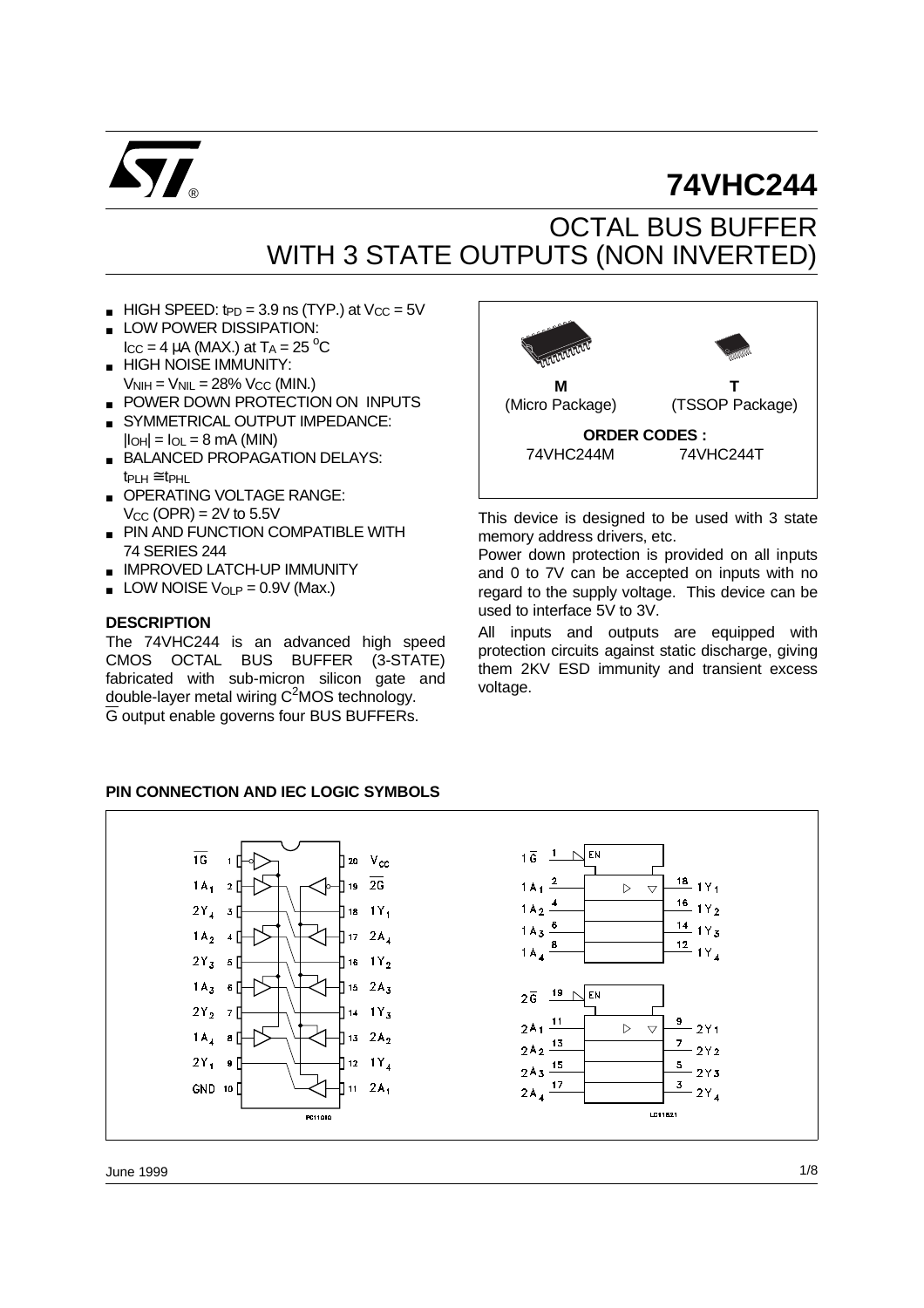

# **74VHC244**

## OCTAL BUS BUFFER WITH 3 STATE OUTPUTS (NON INVERTED)

- $HIGH SPEED:  $tpD = 3.9 \text{ ns}$  (TYP.) at  $V_{CC} = 5V$$
- LOW POWER DISSIPATION:  $\text{I}_{\text{CC}} = 4 \mu \text{A} \text{ (MAX.)}$  at  $\text{T}_{\text{A}} = 25 \text{ °C}$
- **HIGH NOISE IMMUNITY:**  $V_{\text{NIH}} = V_{\text{NIL}} = 28\% V_{\text{CC}}$  (MIN.)
- POWER DOWN PROTECTION ON INPUTS
- SYMMETRICAL OUTPUT IMPEDANCE:  $|I_{\text{OH}}| = I_{\text{OL}} = 8 \text{ mA}$  (MIN)
- BALANCED PROPAGATION DELAYS: tPLH ≅ tPHL
- OPERATING VOLTAGE RANGE:  $V_{CC}$  (OPR) = 2V to 5.5V
- PIN AND FUNCTION COMPATIBLE WITH 74 SERIES 244
- IMPROVED LATCH-UP IMMUNITY
- $\blacksquare$  LOW NOISE V<sub>OLP</sub> = 0.9V (Max.)

#### **DESCRIPTION**

The 74VHC244 is an advanced high speed CMOS OCTAL BUS BUFFER (3-STATE) fabricated with sub-micron silicon gate and double-layer metal wiring  $C^2$ MOS technology. G output enable governs four BUS BUFFERs.



This device is designed to be used with 3 state memory address drivers, etc.

Power down protection is provided on all inputs and 0 to 7V can be accepted on inputs with no regard to the supply voltage. This device can be used to interface 5V to 3V.

All inputs and outputs are equipped with protection circuits against static discharge, giving them 2KV ESD immunity and transient excess voltage.

#### **PIN CONNECTION AND IEC LOGIC SYMBOLS**

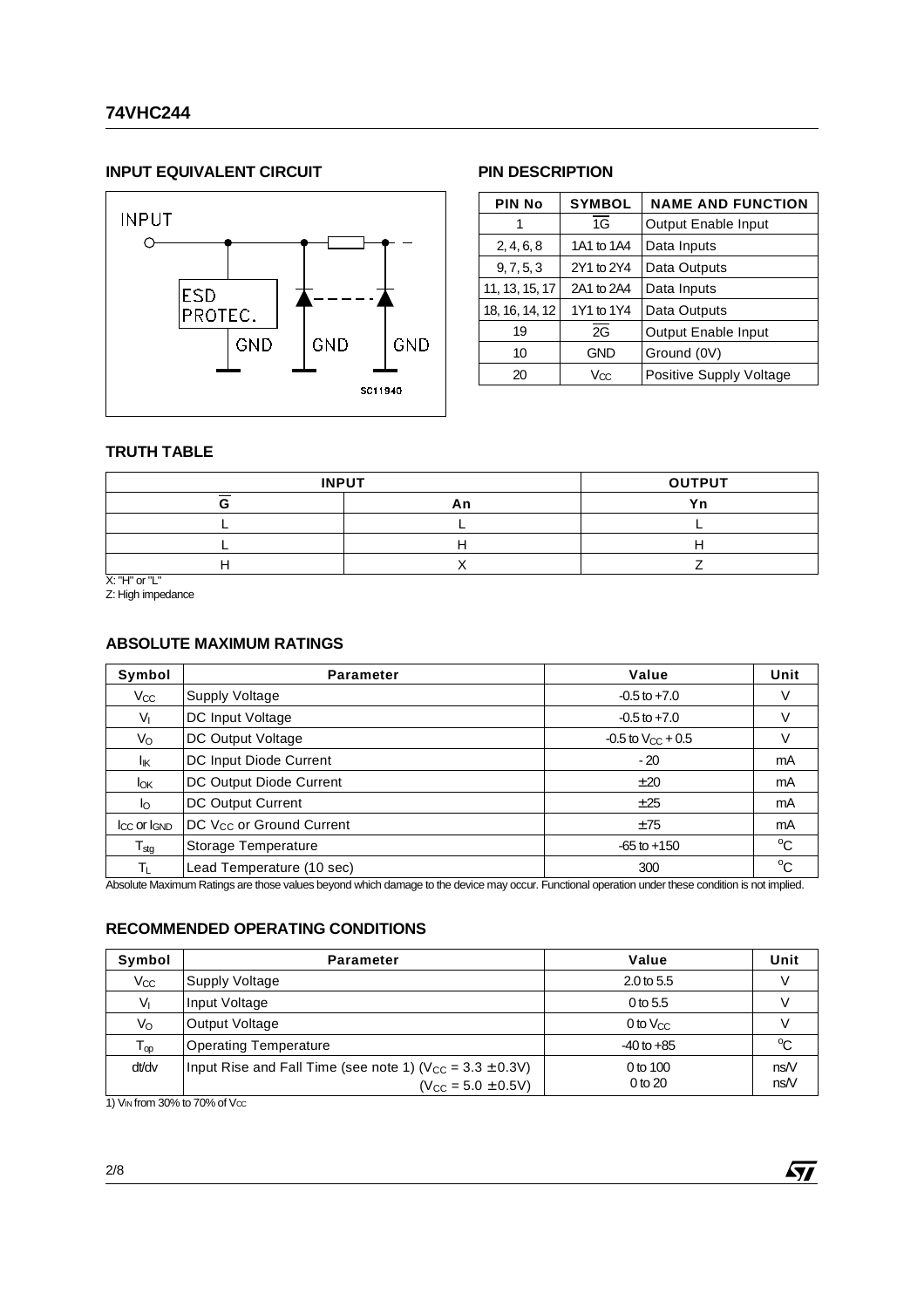#### **INPUT EQUIVALENT CIRCUIT**



#### **PIN DESCRIPTION**

| <b>PIN No</b>  | <b>SYMBOL</b> | <b>NAME AND FUNCTION</b>   |  |  |  |  |
|----------------|---------------|----------------------------|--|--|--|--|
| 1              | 1G            | Output Enable Input        |  |  |  |  |
| 2, 4, 6, 8     | 1A1 to 1A4    | Data Inputs                |  |  |  |  |
| 9, 7, 5, 3     | 2Y1 to 2Y4    | Data Outputs               |  |  |  |  |
| 11, 13, 15, 17 | 2A1 to 2A4    | Data Inputs                |  |  |  |  |
| 18, 16, 14, 12 | 1Y1 to 1Y4    | Data Outputs               |  |  |  |  |
| 19             | 2G            | <b>Output Enable Input</b> |  |  |  |  |
| 10             | <b>GND</b>    | Ground (0V)                |  |  |  |  |
| 20             | Vœ            | Positive Supply Voltage    |  |  |  |  |

#### **TRUTH TABLE**

| <b>INPUT</b> | <b>OUTPUT</b> |  |  |
|--------------|---------------|--|--|
|              |               |  |  |
|              |               |  |  |
|              |               |  |  |
|              |               |  |  |

X: "H" or "L"

#### Z: High impedance

#### **ABSOLUTE MAXIMUM RATINGS**

| Symbol                     | <b>Parameter</b>                     | Value                    | Unit         |
|----------------------------|--------------------------------------|--------------------------|--------------|
| $V_{\rm CC}$               | Supply Voltage                       | $-0.5$ to $+7.0$         |              |
| V <sub>I</sub>             | DC Input Voltage                     | $-0.5$ to $+7.0$         |              |
| Vo                         | DC Output Voltage                    | $-0.5$ to $V_{CC}$ + 0.5 |              |
| lικ                        | DC Input Diode Current               | $-20$                    | mA           |
| <b>l</b> ok                | DC Output Diode Current              | ±20                      | mA           |
| lo                         | <b>DC Output Current</b>             | ±25                      | mA           |
| $I_{CC}$ or $I_{GND}$      | DC V <sub>CC</sub> or Ground Current | ±75                      | mA           |
| ${\mathsf T}_{\text{stg}}$ | Storage Temperature                  | $-65$ to $+150$          | $^{\circ}$ C |
| TL                         | Lead Temperature (10 sec)            | 300                      | °C           |

Absolute Maximum Ratings are those values beyond which damage to the device may occur. Functional operation under these condition is not implied.

#### **RECOMMENDED OPERATING CONDITIONS**

| Symbol                       | <b>Parameter</b>                                                                               | Value                   | Unit       |
|------------------------------|------------------------------------------------------------------------------------------------|-------------------------|------------|
| $V_{CC}$                     | Supply Voltage                                                                                 | $2.0 \text{ to } 5.5$   |            |
| $V_{I}$                      | Input Voltage                                                                                  | 0 to $5.5$              |            |
| Vo                           | Output Voltage                                                                                 | $0$ to $V_{CC}$         |            |
| ${\mathsf T}_{\textsf {op}}$ | <b>Operating Temperature</b>                                                                   | $-40$ to $+85$          | °C         |
| dt/dv                        | Input Rise and Fall Time (see note 1) ( $V_{CC} = 3.3 \pm 0.3V$ )<br>$(V_{CC} = 5.0 \pm 0.5V)$ | 0 to 100<br>$0$ to $20$ | nsN<br>nsN |

1)  $V_{IN}$  from 30% to 70% of  $V_{CC}$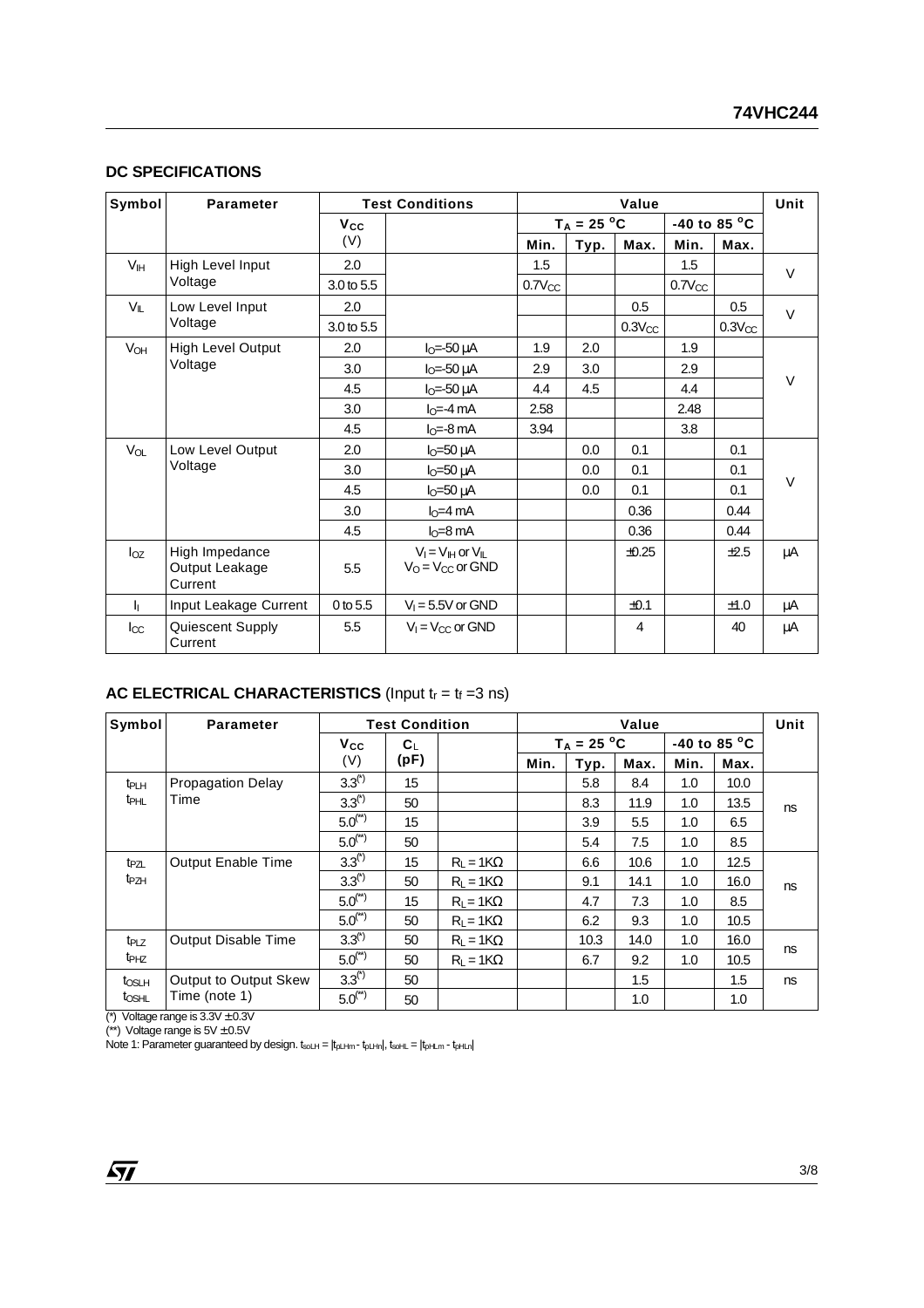#### **DC SPECIFICATIONS**

| Symbol          | <b>Parameter</b>                            | <b>Test Conditions</b> |                                                     |             | Unit          |             |             |                        |        |
|-----------------|---------------------------------------------|------------------------|-----------------------------------------------------|-------------|---------------|-------------|-------------|------------------------|--------|
|                 |                                             | Vcc                    |                                                     |             | $T_A = 25 °C$ |             |             | -40 to 85 $^{\circ}$ C |        |
|                 |                                             | (V)                    |                                                     | Min.        | Typ.          | Max.        | Min.        | Max.                   |        |
| V <sub>IH</sub> | High Level Input                            | 2.0                    |                                                     | 1.5         |               |             | 1.5         |                        | $\vee$ |
|                 | Voltage                                     | 3.0 to 5.5             |                                                     | $0.7V_{CC}$ |               |             | $0.7V_{CC}$ |                        |        |
| VIL             | Low Level Input                             | 2.0                    |                                                     |             |               | 0.5         |             | 0.5                    | $\vee$ |
|                 | Voltage                                     | 3.0 to 5.5             |                                                     |             |               | $0.3V_{CC}$ |             | $0.3V_{CC}$            |        |
| V <sub>OH</sub> | <b>High Level Output</b>                    | 2.0                    | $IO=-50 \mu A$                                      | 1.9         | 2.0           |             | 1.9         |                        |        |
|                 | Voltage                                     | 3.0                    | $IO=-50 \mu A$                                      | 2.9         | 3.0           |             | 2.9         |                        |        |
|                 |                                             | 4.5                    | $IO=-50 \mu A$                                      | 4.4         | 4.5           |             | 4.4         |                        | $\vee$ |
|                 |                                             | 3.0                    | $I0=-4 mA$                                          | 2.58        |               |             | 2.48        |                        |        |
|                 |                                             | 4.5                    | $IO=-8 mA$                                          | 3.94        |               |             | 3.8         |                        |        |
| $V_{OL}$        | Low Level Output                            | 2.0                    | $IO=50 \mu A$                                       |             | 0.0           | 0.1         |             | 0.1                    |        |
|                 | Voltage                                     | 3.0                    | $I_0 = 50 \mu A$                                    |             | 0.0           | 0.1         |             | 0.1                    |        |
|                 |                                             | 4.5                    | $IO=50 \mu A$                                       |             | 0.0           | 0.1         |             | 0.1                    | $\vee$ |
|                 |                                             | 3.0                    | $IO=4 mA$                                           |             |               | 0.36        |             | 0.44                   |        |
|                 |                                             | 4.5                    | $IO=8 mA$                                           |             |               | 0.36        |             | 0.44                   |        |
| $I_{OZ}$        | High Impedance<br>Output Leakage<br>Current | 5.5                    | $V_I = V_{II}$ or $V_{II}$<br>$V_O = V_{CC}$ or GND |             |               | $\pm 0.25$  |             | ±2.5                   | μA     |
| 五               | Input Leakage Current                       | 0 to 5.5               | $V_1 = 5.5V$ or GND                                 |             |               | ±0.1        |             | ±1.0                   | μA     |
| $_{\rm loc}$    | Quiescent Supply<br>Current                 | 5.5                    | $V_1 = V_{CC}$ or GND                               |             |               | 4           |             | 40                     | μA     |

#### **AC ELECTRICAL CHARACTERISTICS (Input t<sub>r</sub> = t<sub>f</sub> =3 ns)**

| Symbol                  | <b>Parameter</b>           | <b>Test Condition</b> |                      | Value                                   |      |      |      |      | Unit |    |
|-------------------------|----------------------------|-----------------------|----------------------|-----------------------------------------|------|------|------|------|------|----|
|                         |                            | <b>V<sub>cc</sub></b> | $\mathbf{C}^{\perp}$ | $T_A = 25 °C$<br>-40 to 85 $^{\circ}$ C |      |      |      |      |      |    |
|                         |                            | (V)                   | (pF)                 |                                         | Min. | Typ. | Max. | Min. | Max. |    |
| t <sub>PLH</sub>        | <b>Propagation Delay</b>   | $3.3^{(*)}$           | 15                   |                                         |      | 5.8  | 8.4  | 1.0  | 10.0 |    |
| <b>t</b> <sub>PHL</sub> | Time                       | $3.3^{(*)}$           | 50                   |                                         |      | 8.3  | 11.9 | 1.0  | 13.5 | ns |
|                         |                            | $5.0^{(*)}$           | 15                   |                                         |      | 3.9  | 5.5  | 1.0  | 6.5  |    |
|                         |                            | $5.0^{(*)}$           | 50                   |                                         |      | 5.4  | 7.5  | 1.0  | 8.5  |    |
| t <sub>PZL</sub>        | <b>Output Enable Time</b>  | $3.3^{(*)}$           | 15                   | $R_L = 1K\Omega$                        |      | 6.6  | 10.6 | 1.0  | 12.5 |    |
| t <sub>PZH</sub>        |                            | $3.3^{(*)}$           | 50                   | $R1 = 1K\Omega$                         |      | 9.1  | 14.1 | 1.0  | 16.0 | ns |
|                         |                            | $5.0^{(*)}$           | 15                   | $R_L = 1K\Omega$                        |      | 4.7  | 7.3  | 1.0  | 8.5  |    |
|                         |                            | $5.0^{(*)}$           | 50                   | $R_L = 1K\Omega$                        |      | 6.2  | 9.3  | 1.0  | 10.5 |    |
| t <sub>PLZ</sub>        | <b>Output Disable Time</b> | $3.3^{(*)}$           | 50                   | $R1 = 1K\Omega$                         |      | 10.3 | 14.0 | 1.0  | 16.0 | ns |
| t <sub>PHZ</sub>        |                            | $5.0^{(*)}$           | 50                   | $R1 = 1K\Omega$                         |      | 6.7  | 9.2  | 1.0  | 10.5 |    |
| t <sub>OSLH</sub>       | Output to Output Skew      | $3.3^{(*)}$           | 50                   |                                         |      |      | 1.5  |      | 1.5  | ns |
| t <sub>OSHL</sub>       | Time (note 1)              | $5.0^{(*)}$           | 50                   |                                         |      |      | 1.0  |      | 1.0  |    |

(\*) Voltage range is  $3.3V \pm 0.3V$ (\*\*) Voltage range is  $5V \pm 0.5V$ 

Note 1: Parameter guaranteed by design.  $t_{solH} = |t_{plHm} - t_{plHm}|$ ,  $t_{solHL} = |t_{plHm} - t_{plHm}|$ 

 $\sqrt{27}$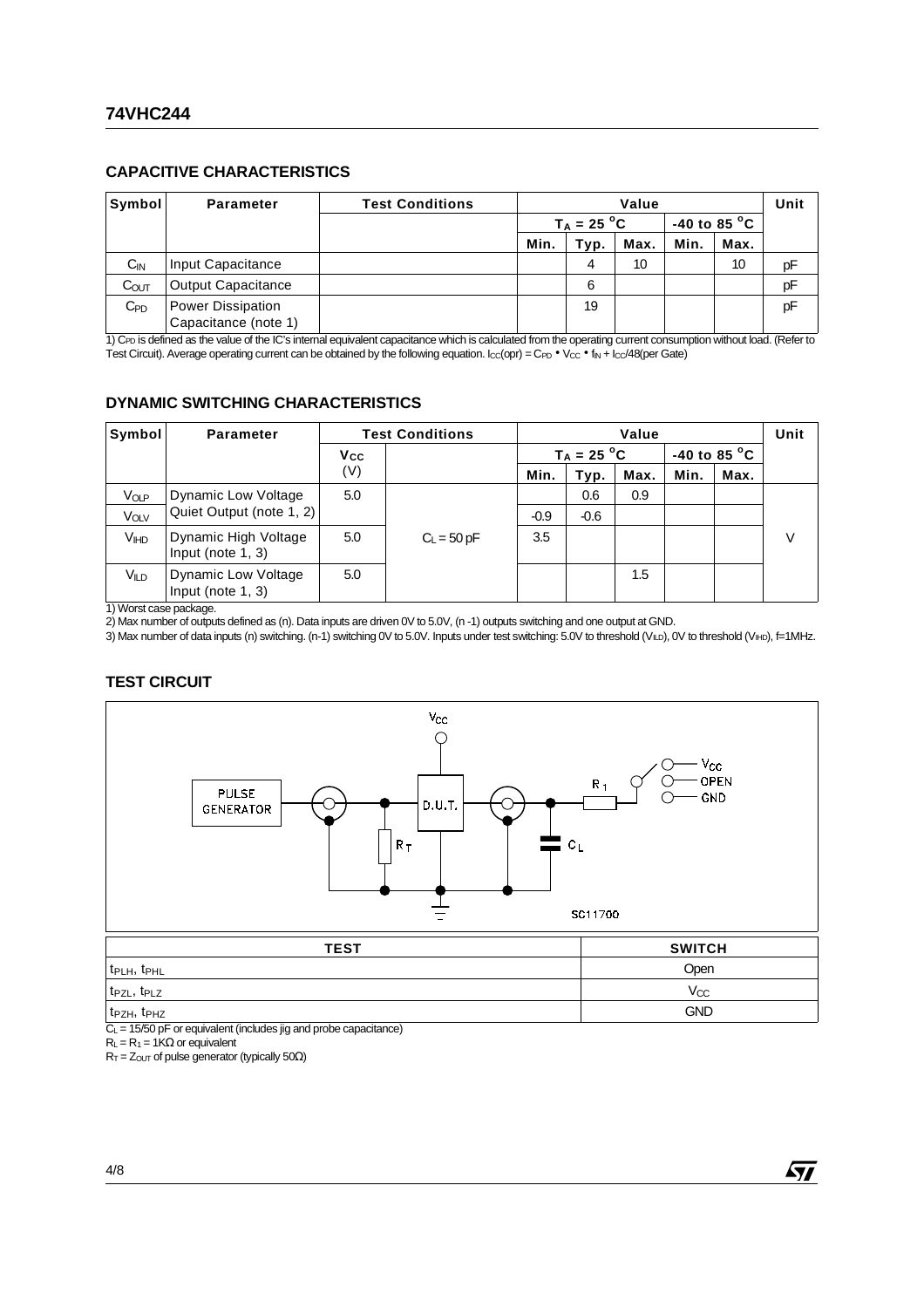#### **CAPACITIVE CHARACTERISTICS**

| Symbol            | <b>Parameter</b>                          | <b>Test Conditions</b> | Value         |      |                        |      | Unit |    |
|-------------------|-------------------------------------------|------------------------|---------------|------|------------------------|------|------|----|
|                   |                                           |                        | $T_A = 25 °C$ |      | -40 to 85 $^{\circ}$ C |      |      |    |
|                   |                                           |                        | Min.          | Typ. | Max.                   | Min. | Max. |    |
| $C_{IN}$          | Input Capacitance                         |                        |               | 4    | 10                     |      | 10   | рF |
| C <sub>OUT</sub>  | <b>Output Capacitance</b>                 |                        |               | 6    |                        |      |      | рF |
| $C_{\mathsf{PD}}$ | Power Dissipation<br>Capacitance (note 1) |                        |               | 19   |                        |      |      | pF |

1) C<sub>PD</sub> is defined as the value of the IC's internal equivalent capacitance which is calculated from the operating current consumption without load. (Refer to Test Circuit). Average operating current can be obtained by the following equation.  $l_{\text{CC}}$ (opr) = C<sub>PD</sub> • V<sub>CC</sub> • f<sub>IN</sub> +  $l_{\text{CC}}/48$ (per Gate)

#### **DYNAMIC SWITCHING CHARACTERISTICS**

| Symbol           | <b>Parameter</b>                                   | <b>Test Conditions</b> |               | Value  |               |      |                        |      | Unit |
|------------------|----------------------------------------------------|------------------------|---------------|--------|---------------|------|------------------------|------|------|
|                  |                                                    | Vcc                    |               |        | $T_A = 25 °C$ |      | -40 to 85 $^{\circ}$ C |      |      |
|                  |                                                    | (V)                    |               | Min.   | Typ.          | Max. | Min.                   | Max. |      |
| VOLP             | Dynamic Low Voltage                                | 5.0                    |               |        | 0.6           | 0.9  |                        |      |      |
| VOLV             | Quiet Output (note 1, 2)                           |                        |               | $-0.9$ | $-0.6$        |      |                        |      |      |
| VIHD             | Dynamic High Voltage<br>Input (note $1, 3$ )       | 5.0                    | $C_L$ = 50 pF | 3.5    |               |      |                        |      | V    |
| V <sub>ILD</sub> | <b>Dynamic Low Voltage</b><br>Input (note $1, 3$ ) | 5.0                    |               |        |               | 1.5  |                        |      |      |

1) Worst case package.

2) Max number of outputs defined as (n). Data inputs are driven 0V to 5.0V, (n -1) outputs switching and one output at GND.

3) Max number of data inputs (n) switching. (n-1) switching 0V to 5.0V. Inputs under test switching: 5.0V to threshold (V<sub>ILD</sub>), 0V to threshold (V<sub>IHD</sub>), f=1MHz.

#### **TEST CIRCUIT**



| t <sub>PLH</sub> , t <sub>PHL</sub>                                       | Open       |
|---------------------------------------------------------------------------|------------|
| t <sub>PZL</sub> , t <sub>PLZ</sub>                                       | Vcc        |
| t <sub>PZH</sub> , t <sub>PHZ</sub><br>$\sim$ $\sim$ $\sim$ $\sim$ $\sim$ | <b>GND</b> |

 $C_L$  = 15/50 pF or equivalent (includes jig and probe capacitance)

 $R_L = R_1 = 1K\Omega$  or equivalent

 $R_T = Z_{\text{OUT}}$  of pulse generator (typically 50 $\Omega$ )

57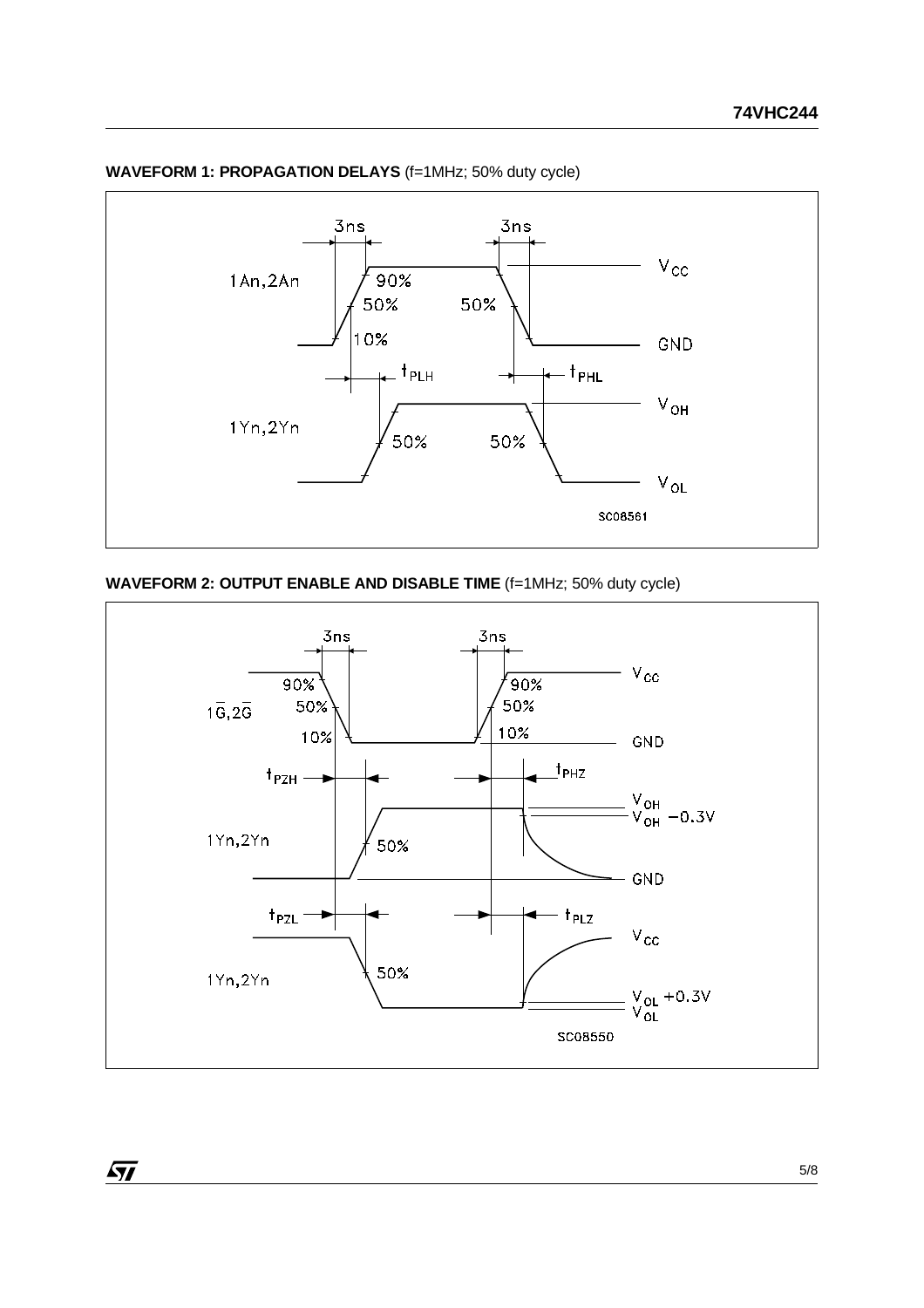

#### **WAVEFORM 1: PROPAGATION DELAYS (f=1MHz; 50% duty cycle)**

#### **WAVEFORM 2: OUTPUT ENABLE AND DISABLE TIME** (f=1MHz; 50% duty cycle)

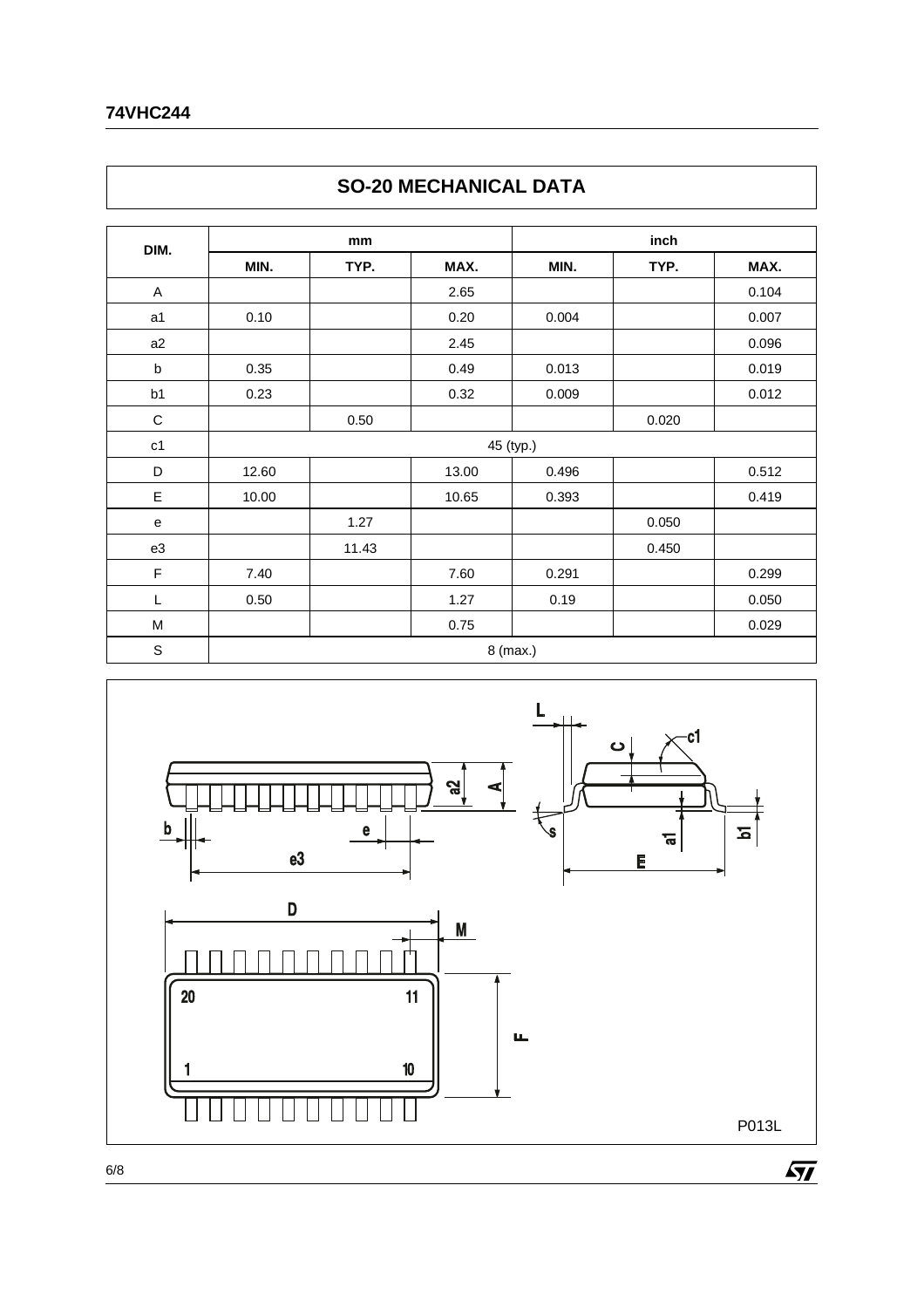#### **74VHC244**

|             |       |       | <b>JU-LU INLUI IANIUAL DATA</b> |           |       |       |  |  |
|-------------|-------|-------|---------------------------------|-----------|-------|-------|--|--|
| DIM.        |       | mm    |                                 |           | inch  |       |  |  |
|             | MIN.  | TYP.  | MAX.                            | MIN.      | TYP.  | MAX.  |  |  |
| A           |       |       | 2.65                            |           |       | 0.104 |  |  |
| a1          | 0.10  |       | 0.20                            | 0.004     |       | 0.007 |  |  |
| a2          |       |       | 2.45                            |           |       | 0.096 |  |  |
| b           | 0.35  |       | 0.49                            | 0.013     |       | 0.019 |  |  |
| b1          | 0.23  |       | 0.32                            | 0.009     |       | 0.012 |  |  |
| $\mathsf C$ |       | 0.50  |                                 |           | 0.020 |       |  |  |
| c1          |       |       |                                 | 45 (typ.) |       |       |  |  |
| D           | 12.60 |       | 13.00                           | 0.496     |       | 0.512 |  |  |
| E           | 10.00 |       | 10.65                           | 0.393     |       | 0.419 |  |  |
| e           |       | 1.27  |                                 |           | 0.050 |       |  |  |
| e3          |       | 11.43 |                                 |           | 0.450 |       |  |  |
| F           | 7.40  |       | 7.60                            | 0.291     |       | 0.299 |  |  |
| L           | 0.50  |       | 1.27                            | 0.19      |       | 0.050 |  |  |
| M           |       |       | 0.75                            |           |       | 0.029 |  |  |
| $\mathbb S$ |       |       |                                 | 8 (max.)  |       |       |  |  |





 $\sqrt{M}$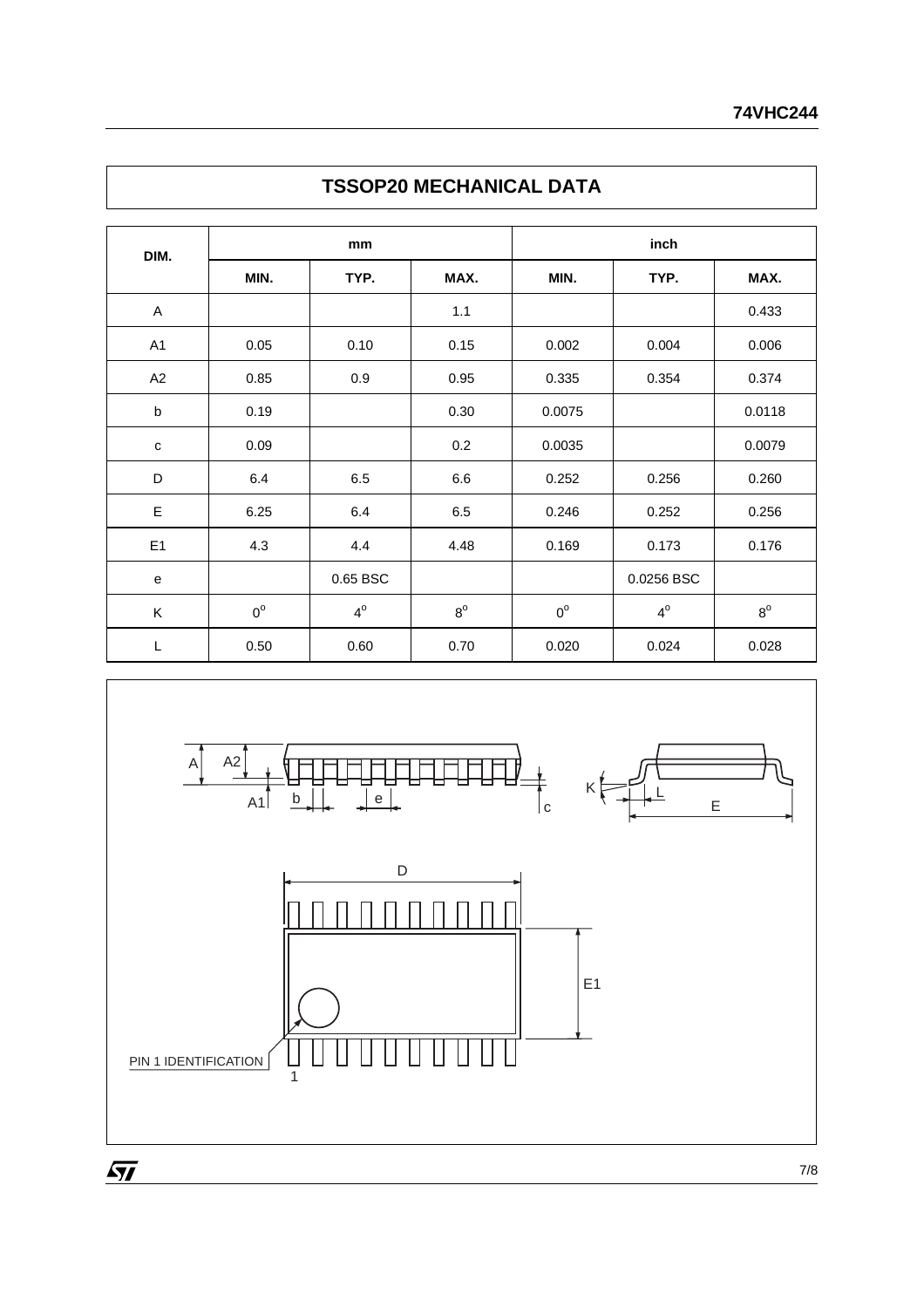| DIM.           |             | mm          |             |             | inch        |             |  |  |  |
|----------------|-------------|-------------|-------------|-------------|-------------|-------------|--|--|--|
|                | MIN.        | TYP.        | MAX.        | MIN.        | TYP.        | MAX.        |  |  |  |
| A              |             |             | 1.1         |             |             | 0.433       |  |  |  |
| A <sub>1</sub> | 0.05        | 0.10        | 0.15        | 0.002       | 0.004       | 0.006       |  |  |  |
| A2             | 0.85        | 0.9         | 0.95        | 0.335       | 0.354       | 0.374       |  |  |  |
| $\sf b$        | 0.19        |             | 0.30        | 0.0075      |             | 0.0118      |  |  |  |
| $\mathbf{C}$   | 0.09        |             | 0.2         | 0.0035      |             | 0.0079      |  |  |  |
| D              | 6.4         | 6.5         | 6.6         | 0.252       | 0.256       | 0.260       |  |  |  |
| E              | 6.25        | 6.4         | 6.5         | 0.246       | 0.252       | 0.256       |  |  |  |
| E <sub>1</sub> | 4.3         | 4.4         | 4.48        | 0.169       | 0.173       | 0.176       |  |  |  |
| e              |             | 0.65 BSC    |             |             | 0.0256 BSC  |             |  |  |  |
| K              | $0^{\circ}$ | $4^{\circ}$ | $8^{\circ}$ | $0^{\circ}$ | $4^{\circ}$ | $8^{\rm o}$ |  |  |  |
| L              | 0.50        | 0.60        | 0.70        | 0.020       | 0.024       | 0.028       |  |  |  |

### **TSSOP20 MECHANICAL DATA**



 $\sqrt{11}$